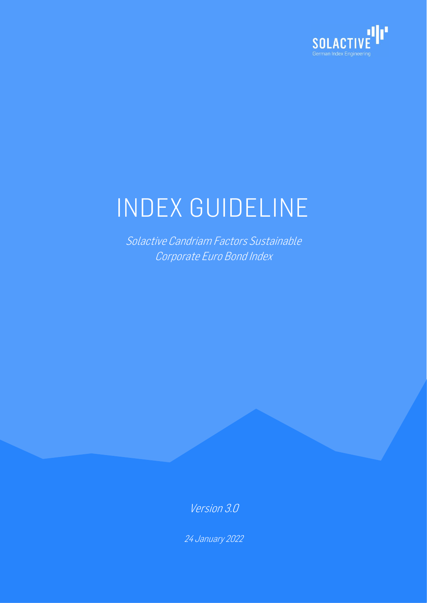

# INDEX GUIDELINE

Solactive Candriam Factors Sustainable Corporate Euro Bond Index

Version 3.0

24 January 2022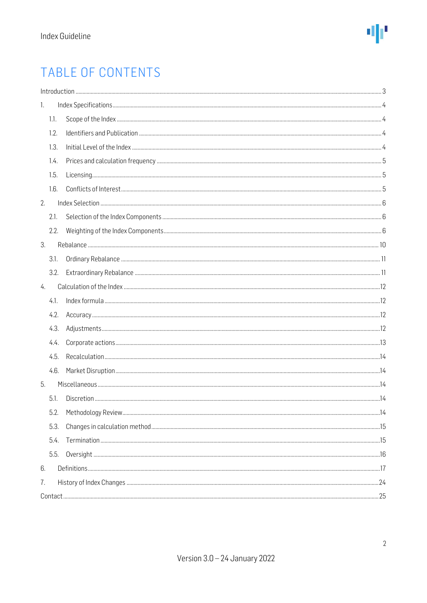### TABLE OF CONTENTS

|    |      | $\int_0^{\pi} \frac{1}{2} \int_0^{\pi} \frac{1}{2} \int_0^{\pi} \frac{1}{2} \int_0^{\pi} \frac{1}{2} \int_0^{\pi} \frac{1}{2} \int_0^{\pi} \frac{1}{2} \int_0^{\pi} \frac{1}{2} \int_0^{\pi} \frac{1}{2} \int_0^{\pi} \frac{1}{2} \int_0^{\pi} \frac{1}{2} \int_0^{\pi} \frac{1}{2} \int_0^{\pi} \frac{1}{2} \int_0^{\pi} \frac{1}{2} \int_0^{\pi} \frac{1}{2} \int_0^{\pi} \frac$ |  |  |  |
|----|------|------------------------------------------------------------------------------------------------------------------------------------------------------------------------------------------------------------------------------------------------------------------------------------------------------------------------------------------------------------------------------------|--|--|--|
| 1. |      |                                                                                                                                                                                                                                                                                                                                                                                    |  |  |  |
|    | 1.1. |                                                                                                                                                                                                                                                                                                                                                                                    |  |  |  |
|    | 1.2. |                                                                                                                                                                                                                                                                                                                                                                                    |  |  |  |
|    | 1.3. |                                                                                                                                                                                                                                                                                                                                                                                    |  |  |  |
|    | 1.4. |                                                                                                                                                                                                                                                                                                                                                                                    |  |  |  |
|    | 1.5. |                                                                                                                                                                                                                                                                                                                                                                                    |  |  |  |
|    | 1.6. |                                                                                                                                                                                                                                                                                                                                                                                    |  |  |  |
| 2. |      |                                                                                                                                                                                                                                                                                                                                                                                    |  |  |  |
|    | 2.1. |                                                                                                                                                                                                                                                                                                                                                                                    |  |  |  |
|    | 2.2. |                                                                                                                                                                                                                                                                                                                                                                                    |  |  |  |
| 3. |      |                                                                                                                                                                                                                                                                                                                                                                                    |  |  |  |
|    | 3.1. |                                                                                                                                                                                                                                                                                                                                                                                    |  |  |  |
|    | 3.2. |                                                                                                                                                                                                                                                                                                                                                                                    |  |  |  |
| 4. |      |                                                                                                                                                                                                                                                                                                                                                                                    |  |  |  |
|    | 4.1. |                                                                                                                                                                                                                                                                                                                                                                                    |  |  |  |
|    | 4.2. |                                                                                                                                                                                                                                                                                                                                                                                    |  |  |  |
|    | 4.3. |                                                                                                                                                                                                                                                                                                                                                                                    |  |  |  |
|    | 4.4. |                                                                                                                                                                                                                                                                                                                                                                                    |  |  |  |
|    | 4.5. |                                                                                                                                                                                                                                                                                                                                                                                    |  |  |  |
|    | 4.6. |                                                                                                                                                                                                                                                                                                                                                                                    |  |  |  |
| 5. |      |                                                                                                                                                                                                                                                                                                                                                                                    |  |  |  |
|    | 5.1. |                                                                                                                                                                                                                                                                                                                                                                                    |  |  |  |
|    | 5.2. |                                                                                                                                                                                                                                                                                                                                                                                    |  |  |  |
|    | 5.3. |                                                                                                                                                                                                                                                                                                                                                                                    |  |  |  |
|    | 5.4. |                                                                                                                                                                                                                                                                                                                                                                                    |  |  |  |
|    | 5.5. |                                                                                                                                                                                                                                                                                                                                                                                    |  |  |  |
| 6. |      |                                                                                                                                                                                                                                                                                                                                                                                    |  |  |  |
| 7. |      |                                                                                                                                                                                                                                                                                                                                                                                    |  |  |  |
|    |      |                                                                                                                                                                                                                                                                                                                                                                                    |  |  |  |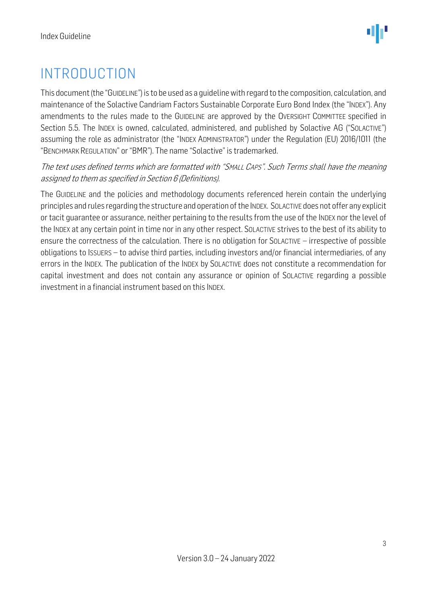### <span id="page-2-0"></span>INTRODUCTION

This document (the "GUIDELINE") is to be used as a guidelinewith regard to the composition, calculation, and maintenance of the Solactive Candriam Factors Sustainable Corporate Euro Bond Index (the "INDEX"). Any amendments to the rules made to the GUIDELINE are approved by the OVERSIGHT COMMITTEE specified in Section 5.5. The INDEX is owned, calculated, administered, and published by Solactive AG ("SOLACTIVE") assuming the role as administrator (the "INDEX ADMINISTRATOR") under the Regulation (EU) 2016/1011 (the "BENCHMARK REGULATION" or "BMR"). The name "Solactive" is trademarked.

#### The text uses defined terms which are formatted with "SMALL CAPS". Such Terms shall have the meaning assigned to them as specified in Section 6 (Definitions).

The GUIDELINE and the policies and methodology documents referenced herein contain the underlying principles and rules regarding the structure and operation of the INDEX. SOLACTIVE does not offer any explicit or tacit guarantee or assurance, neither pertaining to the results from the use of the INDEX nor the level of the INDEX at any certain point in time nor in any other respect. SOLACTIVE strives to the best of its ability to ensure the correctness of the calculation. There is no obligation for SOLACTIVE – irrespective of possible obligations to ISSUERS – to advise third parties, including investors and/or financial intermediaries, of any errors in the INDEX. The publication of the INDEX by SOLACTIVE does not constitute a recommendation for capital investment and does not contain any assurance or opinion of SOLACTIVE regarding a possible investment in a financial instrument based on this INDEX.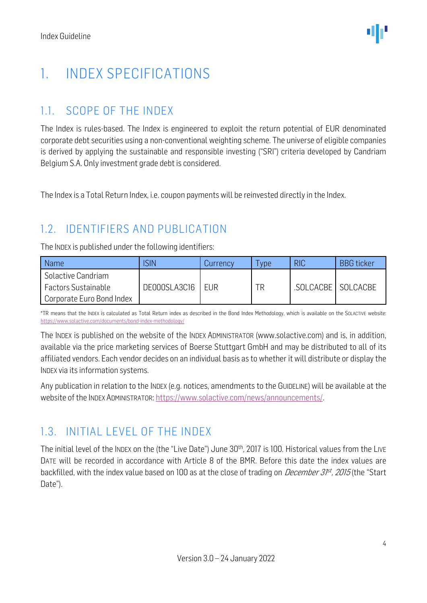### <span id="page-3-0"></span>1. INDEX SPECIFICATIONS

#### <span id="page-3-1"></span>1.1. SCOPE OF THE INDEX

The Index is rules-based. The Index is engineered to exploit the return potential of EUR denominated corporate debt securities using a non-conventional weighting scheme. The universe of eligible companies is derived by applying the sustainable and responsible investing ("SRI") criteria developed by Candriam Belgium S.A. Only investment grade debt is considered.

The Index is a Total Return Index, i.e. coupon payments will be reinvested directly in the Index.

#### <span id="page-3-2"></span>1.2. IDENTIFIERS AND PUBLICATION

The INDEX is published under the following identifiers:

| <b>Name</b>                | <b>SIN</b>   | Currency   | vpe | <b>RIC</b>        | <b>BBG</b> ticker |
|----------------------------|--------------|------------|-----|-------------------|-------------------|
| Solactive Candriam         |              |            |     |                   |                   |
| <b>Factors Sustainable</b> | DE000SLA3C16 | <b>EUR</b> | ΓR  | SOLCACBE SOLCACBE |                   |
| Corporate Euro Bond Index  |              |            |     |                   |                   |

\*TR means that the INDEX is calculated as Total Return index as described in the Bond Index Methodology, which is available on the SOLACTIVE website: <https://www.solactive.com/documents/bond-index-methodology/>

The INDEX is published on the website of the INDEX ADMINISTRATOR (www.solactive.com) and is, in addition, available via the price marketing services of Boerse Stuttgart GmbH and may be distributed to all of its affiliated vendors. Each vendor decides on an individual basis as to whether it will distribute or display the INDEX via its information systems.

Any publication in relation to the INDEX (e.g. notices, amendments to the GUIDELINE) will be available at the website of the INDEX ADMINISTRATOR: [https://www.solactive.com/news/announcements/.](https://www.solactive.com/news/announcements/)

#### <span id="page-3-3"></span>1.3. INITIAL LEVEL OF THE INDEX

The initial level of the INDEX on the (the "Live Date") June 30<sup>th</sup>, 2017 is 100. Historical values from the LIVE DATE will be recorded in accordance with Article 8 of the BMR. Before this date the index values are backfilled, with the index value based on 100 as at the close of trading on *December 3P<sup>st</sup>, 2015* (the "Start Date").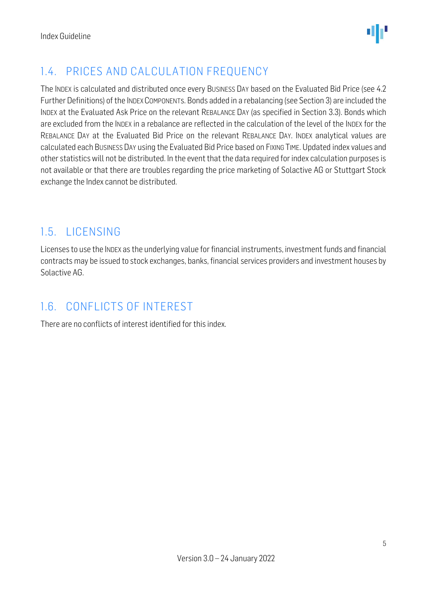

#### <span id="page-4-0"></span>1.4. PRICES AND CALCULATION FREQUENCY

The INDEX is calculated and distributed once every BUSINESS DAY based on the Evaluated Bid Price (see 4.2 Further Definitions) of the INDEX COMPONENTs. Bonds added in a rebalancing (see Section 3) are included the INDEX at the Evaluated Ask Price on the relevant REBALANCE DAY (as specified in Section 3.3). Bonds which are excluded from the INDEX in a rebalance are reflected in the calculation of the level of the INDEX for the REBALANCE DAY at the Evaluated Bid Price on the relevant REBALANCE DAY. INDEX analytical values are calculated each BUSINESS DAY using the Evaluated Bid Price based on FIXING TIME. Updated index values and other statistics will not be distributed. In the event that the data required for index calculation purposes is not available or that there are troubles regarding the price marketing of Solactive AG or Stuttgart Stock exchange the Index cannot be distributed.

#### <span id="page-4-1"></span>1.5. LICENSING

Licenses to use the INDEX as the underlying value for financial instruments, investment funds and financial contracts may be issued to stock exchanges, banks, financial services providers and investment houses by Solactive AG.

#### <span id="page-4-2"></span>1.6. CONFLICTS OF INTEREST

There are no conflicts of interest identified for this index.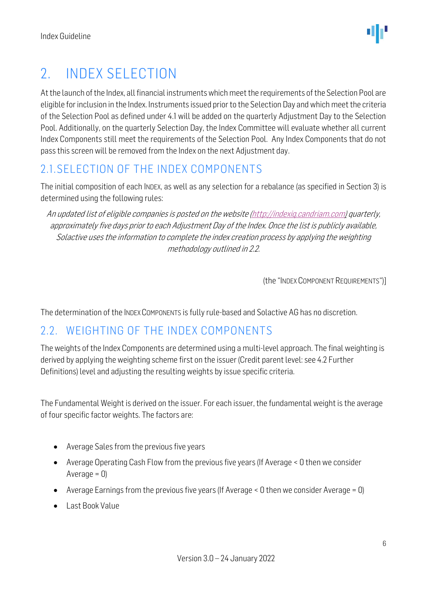### <span id="page-5-0"></span>2. INDEX SELECTION

At the launch of the Index, all financial instruments which meet the requirements of the Selection Pool are eligible for inclusion in the Index. Instruments issued prior to the Selection Day and which meet the criteria of the Selection Pool as defined under 4.1 will be added on the quarterly Adjustment Day to the Selection Pool. Additionally, on the quarterly Selection Day, the Index Committee will evaluate whether all current Index Components still meet the requirements of the Selection Pool. Any Index Components that do not pass this screen will be removed from the Index on the next Adjustment day.

#### <span id="page-5-1"></span>2.1.SELECTION OF THE INDEX COMPONENTS

The initial composition of each INDEX, as well as any selection for a rebalance (as specified in Section 3) is determined using the following rules:

An updated list of eligible companies is posted on the website [\(http://indexiq.candriam.com\)](http://indexiq.candriam.com/) quarterly, approximately five days prior to each Adjustment Day of the Index. Once the list is publicly available, Solactive uses the information to complete the index creation process by applying the weighting methodology outlined in 2.2.

(the "INDEX COMPONENT REQUIREMENTS")]

The determination of the INDEX COMPONENTS is fully rule-based and Solactive AG has no discretion.

#### <span id="page-5-2"></span>2.2. WEIGHTING OF THE INDEX COMPONENTS

The weights of the Index Components are determined using a multi-level approach. The final weighting is derived by applying the weighting scheme first on the issuer (Credit parent level: see 4.2 Further Definitions) level and adjusting the resulting weights by issue specific criteria.

The Fundamental Weight is derived on the issuer. For each issuer, the fundamental weight is the average of four specific factor weights. The factors are:

- Average Sales from the previous five years
- Average Operating Cash Flow from the previous five years (If Average < 0 then we consider Average  $= 0$ )
- Average Earnings from the previous five years (If Average  $\leq 0$  then we consider Average  $= 0$ )
- Last Book Value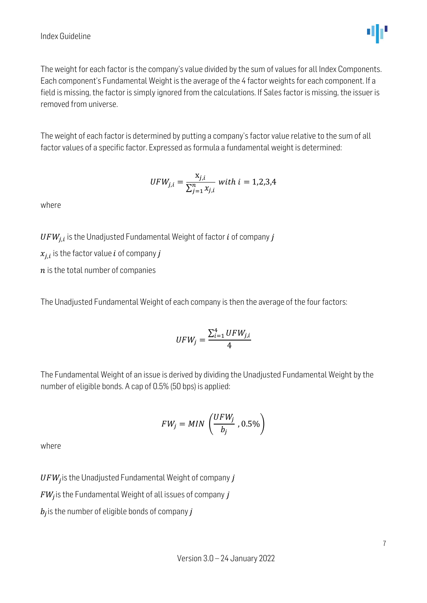

The weight for each factor is the company's value divided by the sum of values for all Index Components. Each component's Fundamental Weight is the average of the 4 factor weights for each component. If a field is missing, the factor is simply ignored from the calculations. If Sales factor is missing, the issuer is removed from universe.

The weight of each factor is determined by putting a company's factor value relative to the sum of all factor values of a specific factor. Expressed as formula a fundamental weight is determined:

$$
UFW_{j,i} = \frac{x_{j,i}}{\sum_{j=1}^{n} x_{j,i}} \text{ with } i = 1,2,3,4
$$

where

 $\mathit{UFW}_{j,i}$  is the Unadjusted Fundamental Weight of factor  $i$  of company  $j$ 

 $x_{j,i}$  is the factor value  $i$  of company  $j$ 

 $n$  is the total number of companies

The Unadjusted Fundamental Weight of each company is then the average of the four factors:

$$
UFW_j = \frac{\sum_{i=1}^{4} UFW_{j,i}}{4}
$$

The Fundamental Weight of an issue is derived by dividing the Unadjusted Fundamental Weight by the number of eligible bonds. A cap of 0.5% (50 bps) is applied:

$$
FW_j = MIN\left(\frac{UFW_j}{b_j}, 0.5\%\right)
$$

where

 $\mathit{UFW}_j$  is the Unadjusted Fundamental Weight of company  $j$ 

 $FW_{\!j}$ is the Fundamental Weight of all issues of company  $j$ 

 $b_j$ is the number of eligible bonds of company  $j$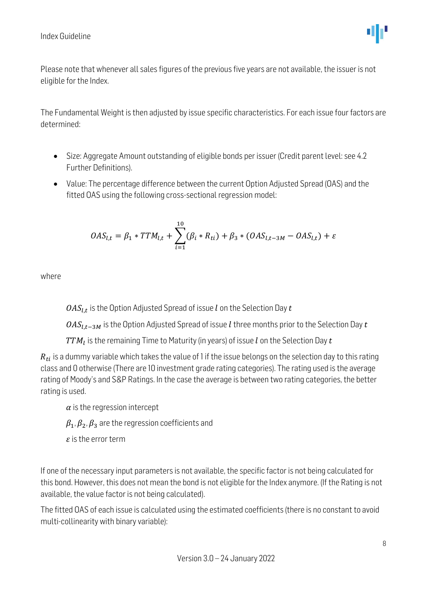

Please note that whenever all sales figures of the previous five years are not available, the issuer is not eligible for the Index.

The Fundamental Weight is then adjusted by issue specific characteristics. For each issue four factors are determined:

- Size: Aggregate Amount outstanding of eligible bonds per issuer (Credit parent level: see 4.2 Further Definitions).
- Value: The percentage difference between the current Option Adjusted Spread (OAS) and the fitted OAS using the following cross-sectional regression model:

$$
OAS_{l,t} = \beta_1 * TTM_{l,t} + \sum_{i=1}^{10} (\beta_i * R_{ti}) + \beta_3 * (OAS_{l,t-3M} - OAS_{l,t}) + \varepsilon
$$

where

 $\mathit{OAS}_{l,t}$  is the Option Adjusted Spread of issue  $l$  on the Selection Day  $t$ 

 $OAS_{LL-3M}$  is the Option Adjusted Spread of issue *l* three months prior to the Selection Day *t* 

 $TTM_l$  is the remaining Time to Maturity (in years) of issue  $l$  on the Selection Day  $t$ 

 $R_{ti}$  is a dummy variable which takes the value of 1 if the issue belongs on the selection day to this rating class and 0 otherwise (There are 10 investment grade rating categories). The rating used is the average rating of Moody's and S&P Ratings. In the case the average is between two rating categories, the better rating is used.

 $\alpha$  is the regression intercept

 $\beta_1, \beta_2, \beta_3$  are the regression coefficients and

 $\varepsilon$  is the error term

If one of the necessary input parameters is not available, the specific factor is not being calculated for this bond. However, this does not mean the bond is not eligible for the Index anymore. (If the Rating is not available, the value factor is not being calculated).

The fitted OAS of each issue is calculated using the estimated coefficients (there is no constant to avoid multi-collinearity with binary variable):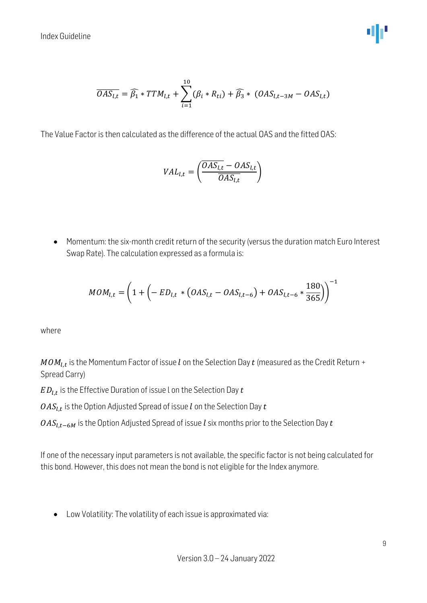$$
\overline{OAS_{l,t}} = \widehat{\beta_1} * TTM_{l,t} + \sum_{i=1}^{10} (\beta_i * R_{ti}) + \widehat{\beta_3} * (OAS_{l,t-3M} - OAS_{l,t})
$$

The Value Factor is then calculated as the difference of the actual OAS and the fitted OAS:

$$
VAL_{l,t} = \left(\frac{\overline{OAS_{l,t}} - OAS_{l,t}}{\overline{OAS_{l,t}}}\right)
$$

• Momentum: the six-month credit return of the security (versus the duration match Euro Interest Swap Rate). The calculation expressed as a formula is:

$$
MOM_{l,t} = \left(1 + \left(-\, ED_{l,t} \, * \left( OAS_{l,t} - OAS_{l,t-6} \right) + OAS_{l,t-6} \, * \frac{180}{365} \right) \right)^{-1}
$$

where

 $\mathit{MOM}_{l,t}$  is the Momentum Factor of issue  $l$  on the Selection Day  $t$  (measured as the Credit Return + Spread Carry)

 $ED_{l,t}$  is the Effective Duration of issue l on the Selection Day  $t$ 

 $\mathit{OAS}_{l,t}$  is the Option Adjusted Spread of issue  $l$  on the Selection Day  $t$ 

 $OAS_{l,t-6M}$  is the Option Adjusted Spread of issue *l* six months prior to the Selection Day *t* 

If one of the necessary input parameters is not available, the specific factor is not being calculated for this bond. However, this does not mean the bond is not eligible for the Index anymore.

• Low Volatility: The volatility of each issue is approximated via: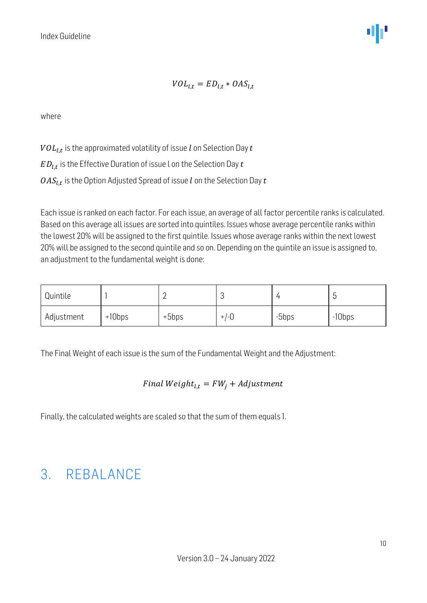$$
VOL_{l,t} = ED_{l,t} * OAS_{l,t}
$$

where

 $\mathit{VOL}_{l,t}$  is the approximated volatility of issue  $l$  on Selection Day  $t$  $ED_{l,t}$  is the Effective Duration of issue L on the Selection Day  $t$ 

 $\mathit{OAS}_{l,t}$  is the Option Adjusted Spread of issue  $l$  on the Selection Day  $t$ 

Each issue is ranked on each factor. For each issue, an average of all factor percentile ranks is calculated. Based on this average all issues are sorted into quintiles. Issues whose average percentile ranks within the lowest 20% will be assigned to the first quintile. Issues whose average ranks within the next lowest 20% will be assigned to the second quintile and so on. Depending on the quintile an issue is assigned to, an adjustment to the fundamental weight is done:

| Quintile   |          |         | <b>U</b> |       |           |
|------------|----------|---------|----------|-------|-----------|
| Adjustment | $+10bps$ | $+5bps$ | $+/-0$   | -5bps | $-10$ bps |

The Final Weight of each issue is the sum of the Fundamental Weight and the Adjustment:

#### Final  $Weight_{1,t} = FW_i + Adjustment$

Finally, the calculated weights are scaled so that the sum of them equals 1.

#### <span id="page-9-0"></span>3. REBALANCE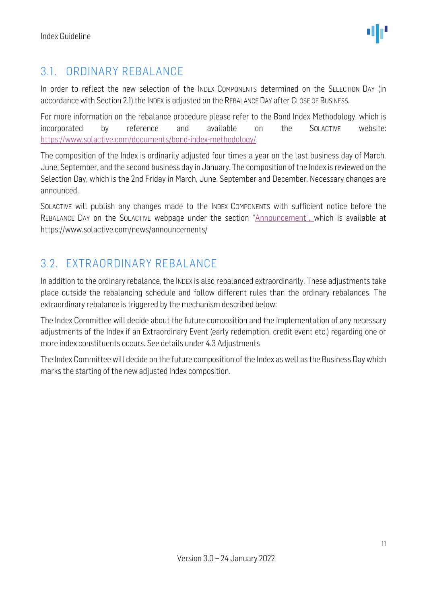#### <span id="page-10-0"></span>3.1. ORDINARY REBALANCE

In order to reflect the new selection of the INDEX COMPONENTS determined on the SELECTION DAY (in accordance with Section 2.1) the INDEX is adjusted on the REBALANCE DAY after CLOSE OF BUSINESS.

For more information on the rebalance procedure please refer to the Bond Index Methodology, which is incorporated by reference and available on the SOLACTIVE website: [https://www.solactive.com/documents/bond-index-methodology/.](https://www.solactive.com/documents/bond-index-methodology/)

The composition of the Index is ordinarily adjusted four times a year on the last business day of March, June, September, and the second business day in January. The composition of the Index is reviewed on the Selection Day, which is the 2nd Friday in March, June, September and December. Necessary changes are announced.

SOLACTIVE will publish any changes made to the INDEX COMPONENTS with sufficient notice before the REBALANCE DAY on the SOLACTIVE webpage under the section "Announcement", which is available at https://www.solactive.com/news/announcements/

#### <span id="page-10-1"></span>3.2. EXTRAORDINARY REBALANCE

In addition to the ordinary rebalance, the INDEX is also rebalanced extraordinarily. These adjustments take place outside the rebalancing schedule and follow different rules than the ordinary rebalances. The extraordinary rebalance is triggered by the mechanism described below:

The Index Committee will decide about the future composition and the implementation of any necessary adjustments of the Index if an Extraordinary Event (early redemption, credit event etc.) regarding one or more index constituents occurs. See details under 4.3 Adjustments

The Index Committee will decide on the future composition of the Index as well as the Business Day which marks the starting of the new adjusted Index composition.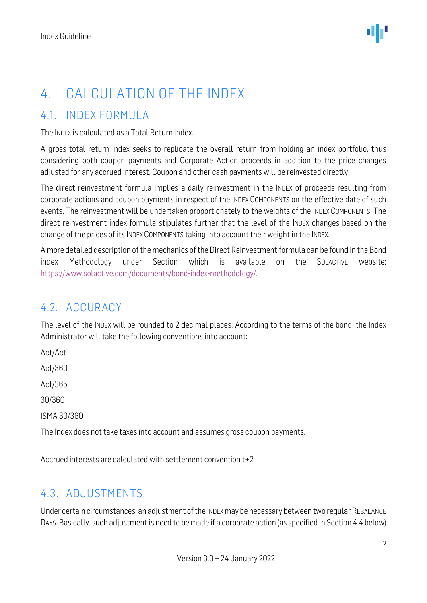### <span id="page-11-0"></span>4. CALCULATION OF THE INDEX

#### <span id="page-11-1"></span>4.1. INDEX FORMULA

The INDEX is calculated as a Total Return index.

A gross total return index seeks to replicate the overall return from holding an index portfolio, thus considering both coupon payments and Corporate Action proceeds in addition to the price changes adjusted for any accrued interest. Coupon and other cash payments will be reinvested directly.

The direct reinvestment formula implies a daily reinvestment in the INDEX of proceeds resulting from corporate actions and coupon payments in respect of the INDEX COMPONENTS on the effective date of such events. The reinvestment will be undertaken proportionately to the weights of the INDEX COMPONENTS. The direct reinvestment index formula stipulates further that the level of the INDEX changes based on the change of the prices of its INDEX COMPONENTS taking into account their weight in the INDEX.

A more detailed description of the mechanics of the Direct Reinvestment formula can be found in the Bond index Methodology under Section which is available on the SOLACTIVE website: [https://www.solactive.com/documents/bond-index-methodology/.](https://www.solactive.com/documents/bond-index-methodology/)

#### <span id="page-11-2"></span>4.2. ACCURACY

The level of the INDEX will be rounded to 2 decimal places. According to the terms of the bond, the Index Administrator will take the following conventions into account:

Act/Act Act/360 Act/365 30/360 ISMA 30/360

The Index does not take taxes into account and assumes gross coupon payments.

Accrued interests are calculated with settlement convention t+2

#### <span id="page-11-3"></span>4.3. ADJUSTMENTS

Under certain circumstances, an adjustment of the INDEX may be necessary between two regular REBALANCE DAYS. Basically, such adjustment is need to be made if a corporate action (as specified in Section 4.4 below)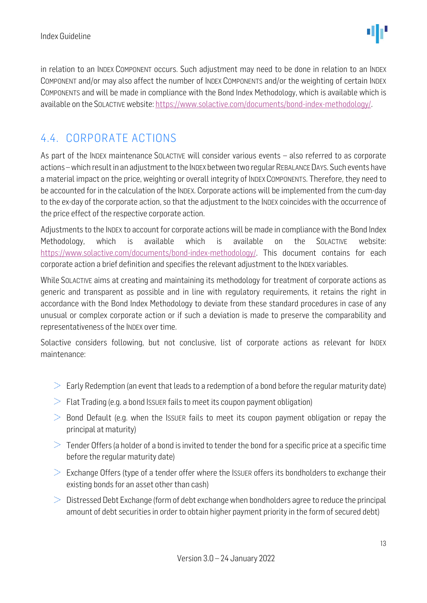in relation to an INDEX COMPONENT occurs. Such adjustment may need to be done in relation to an INDEX COMPONENT and/or may also affect the number of INDEX COMPONENTS and/or the weighting of certain INDEX COMPONENTS and will be made in compliance with the Bond Index Methodology, which is available which is available on the SOLACTIVE website: [https://www.solactive.com/documents/bond-index-methodology/.](https://www.solactive.com/documents/bond-index-methodology/)

#### <span id="page-12-0"></span>4.4. CORPORATE ACTIONS

As part of the INDEX maintenance SOLACTIVE will consider various events – also referred to as corporate actions –which result in an adjustment to the INDEX between two regular REBALANCE DAYS. Such events have a material impact on the price, weighting or overall integrity of INDEX COMPONENTS. Therefore, they need to be accounted for in the calculation of the INDEX. Corporate actions will be implemented from the cum-day to the ex-day of the corporate action, so that the adjustment to the INDEX coincides with the occurrence of the price effect of the respective corporate action.

Adjustments to the INDEX to account for corporate actions will be made in compliance with the Bond Index Methodology, which is available which is available on the SOLACTIVE website: [https://www.solactive.com/documents/bond-index-methodology/.](https://www.solactive.com/documents/bond-index-methodology/) This document contains for each corporate action a brief definition and specifies the relevant adjustment to the INDEX variables.

While SOLACTIVE aims at creating and maintaining its methodology for treatment of corporate actions as generic and transparent as possible and in line with regulatory requirements, it retains the right in accordance with the Bond Index Methodology to deviate from these standard procedures in case of any unusual or complex corporate action or if such a deviation is made to preserve the comparability and representativeness of the INDEX over time.

Solactive considers following, but not conclusive, list of corporate actions as relevant for INDEX maintenance:

- $\geq$  Early Redemption (an event that leads to a redemption of a bond before the regular maturity date)
- $\geq$  Flat Trading (e.g. a bond Issuer fails to meet its coupon payment obligation)
- $\geq$  Bond Default (e.g. when the ISSUER fails to meet its coupon payment obligation or repay the principal at maturity)
- $\geq$  Tender Offers (a holder of a bond is invited to tender the bond for a specific price at a specific time before the regular maturity date)
- $\geq$  Exchange Offers (type of a tender offer where the Issuer offers its bondholders to exchange their existing bonds for an asset other than cash)
- $\geq$  Distressed Debt Exchange (form of debt exchange when bondholders agree to reduce the principal amount of debt securities in order to obtain higher payment priority in the form of secured debt)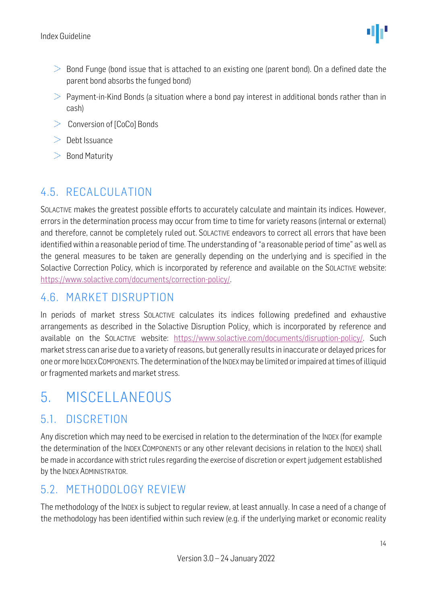- $\geq$  Bond Funge (bond issue that is attached to an existing one (parent bond). On a defined date the parent bond absorbs the funged bond)
- $>$  Payment-in-Kind Bonds (a situation where a bond pay interest in additional bonds rather than in cash)
- $\geq$  Conversion of [CoCo] Bonds
- $\geq$  Debt Issuance
- $>$  Bond Maturity

#### <span id="page-13-0"></span>4.5. RECALCULATION

SOLACTIVE makes the greatest possible efforts to accurately calculate and maintain its indices. However, errors in the determination process may occur from time to time for variety reasons (internal or external) and therefore, cannot be completely ruled out. SOLACTIVE endeavors to correct all errors that have been identified within a reasonable period of time. The understanding of "a reasonable period of time" as well as the general measures to be taken are generally depending on the underlying and is specified in the Solactive Correction Policy, which is incorporated by reference and available on the SOLACTIVE website: [https://www.solactive.com/documents/correction-policy/.](https://www.solactive.com/documents/correction-policy/)

#### <span id="page-13-1"></span>4.6. MARKET DISRUPTION

In periods of market stress SOLACTIVE calculates its indices following predefined and exhaustive arrangements as described in the Solactive Disruption Policy, which is incorporated by reference and available on the SOLACTIVE website: [https://www.solactive.com/documents/disruption-policy/.](https://www.solactive.com/documents/disruption-policy/) Such market stress can arise due to a variety of reasons, but generally results in inaccurate or delayed prices for one or more INDEX COMPONENTS. The determination of the INDEXmay be limited or impaired at times of illiquid or fragmented markets and market stress.

### <span id="page-13-2"></span>5. MISCELLANEOUS

#### <span id="page-13-3"></span>5.1. DISCRETION

Any discretion which may need to be exercised in relation to the determination of the INDEX (for example the determination of the INDEX COMPONENTS or any other relevant decisions in relation to the INDEX) shall be made in accordance with strict rules regarding the exercise of discretion or expert judgement established by the INDEX ADMINISTRATOR.

#### <span id="page-13-4"></span>5.2. METHODOLOGY REVIEW

The methodology of the INDEX is subject to regular review, at least annually. In case a need of a change of the methodology has been identified within such review (e.g. if the underlying market or economic reality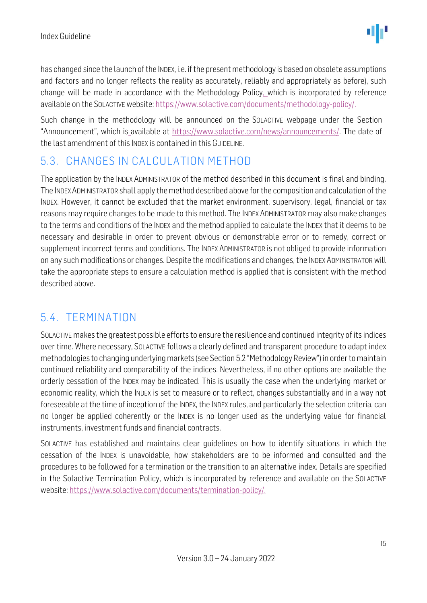has changed since the launch of the INDEX, i.e. if the present methodology is based on obsolete assumptions and factors and no longer reflects the reality as accurately, reliably and appropriately as before), such change will be made in accordance with the Methodology Policy. which is incorporated by reference available on the SOLACTIVE website: [https://www.solactive.com/documents/methodology-policy/.](https://www.solactive.com/documents/methodology-policy/)

Such change in the methodology will be announced on the SOLACTIVE webpage under the Section "Announcement", which is available at https://www.solactive.com/news/announcements/. The date of the last amendment of this INDEX is contained in this GUIDELINE.

#### <span id="page-14-0"></span>5.3. CHANGES IN CALCULATION METHOD

The application by the INDEX ADMINISTRATOR of the method described in this document is final and binding. The INDEXADMINISTRATOR shall apply the method described above for the composition and calculation of the INDEX. However, it cannot be excluded that the market environment, supervisory, legal, financial or tax reasons may require changes to be made to this method. The INDEX ADMINISTRATOR may also make changes to the terms and conditions of the INDEX and the method applied to calculate the INDEX that it deems to be necessary and desirable in order to prevent obvious or demonstrable error or to remedy, correct or supplement incorrect terms and conditions. The INDEX ADMINISTRATOR is not obliged to provide information on any such modifications or changes. Despite the modifications and changes, the INDEX ADMINISTRATOR will take the appropriate steps to ensure a calculation method is applied that is consistent with the method described above.

#### <span id="page-14-1"></span>5.4. TERMINATION

SOLACTIVE makes the greatest possible efforts to ensure the resilience and continued integrity of its indices over time. Where necessary, SOLACTIVE follows a clearly defined and transparent procedure to adapt index methodologies to changing underlying markets (see Section 5.2 "Methodology Review") in order to maintain continued reliability and comparability of the indices. Nevertheless, if no other options are available the orderly cessation of the INDEX may be indicated. This is usually the case when the underlying market or economic reality, which the INDEX is set to measure or to reflect, changes substantially and in a way not foreseeable at the time of inception of the INDEX, the INDEX rules, and particularly the selection criteria, can no longer be applied coherently or the INDEX is no longer used as the underlying value for financial instruments, investment funds and financial contracts.

SOLACTIVE has established and maintains clear guidelines on how to identify situations in which the cessation of the INDEX is unavoidable, how stakeholders are to be informed and consulted and the procedures to be followed for a termination or the transition to an alternative index. Details are specified in the Solactive Termination Policy, which is incorporated by reference and available on the SOLACTIVE website: [https://www.solactive.com/documents/termination-policy/.](https://www.solactive.com/documents/termination-policy/)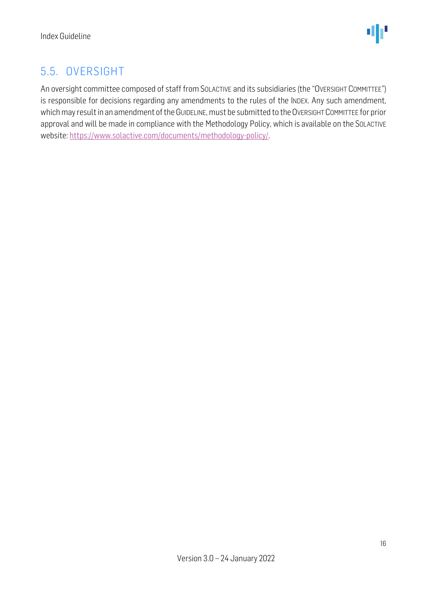#### <span id="page-15-0"></span>5.5. OVERSIGHT

An oversight committee composed of staff from SOLACTIVE and its subsidiaries (the "OVERSIGHT COMMITTEE") is responsible for decisions regarding any amendments to the rules of the INDEX. Any such amendment, which may result in an amendment of the GUIDELINE, must be submitted to the OVERSIGHT COMMITTEE for prior approval and will be made in compliance with th[e Methodology](http://methodology/) Policy, which is available on the SOLACTIVE website: [https://www.solactive.com/documents/methodology-policy/.](https://www.solactive.com/documents/methodology-policy/)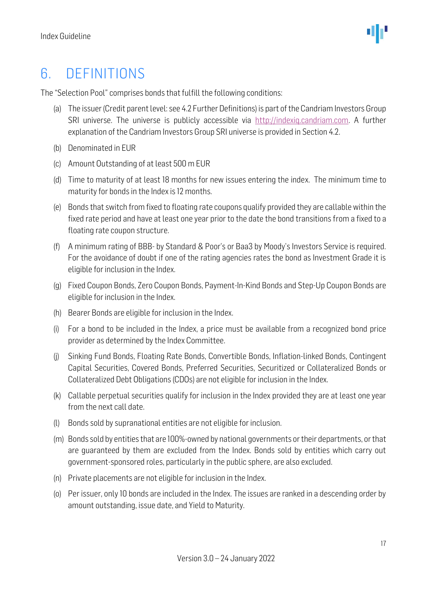### <span id="page-16-0"></span>6. DEFINITIONS

The "Selection Pool" comprises bonds that fulfill the following conditions:

- (a) The issuer (Credit parent level: see 4.2 Further Definitions) is part of the Candriam Investors Group SRI universe. The universe is publicly accessible via http://indexig.candriam.com. A further explanation of the Candriam Investors Group SRI universe is provided in Section 4.2.
- (b) Denominated in EUR
- (c) Amount Outstanding of at least 500 m EUR
- (d) Time to maturity of at least 18 months for new issues entering the index. The minimum time to maturity for bonds in the Index is 12 months.
- (e) Bonds that switch from fixed to floating rate coupons qualify provided they are callable within the fixed rate period and have at least one year prior to the date the bond transitions from a fixed to a floating rate coupon structure.
- (f) A minimum rating of BBB- by Standard & Poor's or Baa3 by Moody's Investors Service is required. For the avoidance of doubt if one of the rating agencies rates the bond as Investment Grade it is eligible for inclusion in the Index.
- (g) Fixed Coupon Bonds, Zero Coupon Bonds, Payment-In-Kind Bonds and Step-Up Coupon Bonds are eligible for inclusion in the Index.
- (h) Bearer Bonds are eligible for inclusion in the Index.
- (i) For a bond to be included in the Index, a price must be available from a recognized bond price provider as determined by the Index Committee.
- (j) Sinking Fund Bonds, Floating Rate Bonds, Convertible Bonds, Inflation-linked Bonds, Contingent Capital Securities, Covered Bonds, Preferred Securities, Securitized or Collateralized Bonds or Collateralized Debt Obligations (CDOs) are not eligible for inclusion in the Index.
- (k) Callable perpetual securities qualify for inclusion in the Index provided they are at least one year from the next call date.
- (l) Bonds sold by supranational entities are not eligible for inclusion.
- (m) Bonds sold by entities that are 100%-owned by national governments or their departments, or that are guaranteed by them are excluded from the Index. Bonds sold by entities which carry out government-sponsored roles, particularly in the public sphere, are also excluded.
- (n) Private placements are not eligible for inclusion in the Index.
- (o) Per issuer, only 10 bonds are included in the Index. The issues are ranked in a descending order by amount outstanding, issue date, and Yield to Maturity.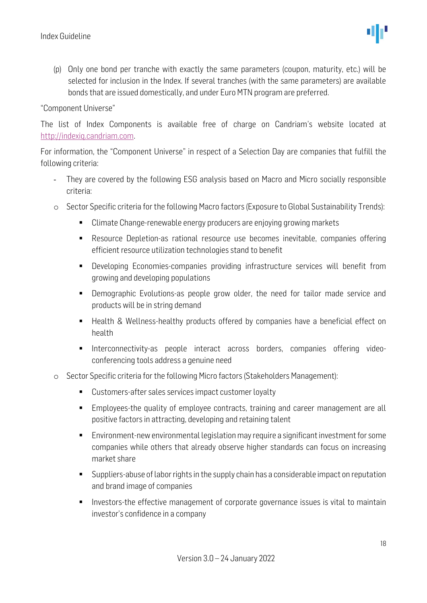(p) Only one bond per tranche with exactly the same parameters (coupon, maturity, etc.) will be selected for inclusion in the Index. If several tranches (with the same parameters) are available bonds that are issued domestically, and under Euro MTN program are preferred.

#### "Component Universe"

The list of Index Components is available free of charge on Candriam's website located at [http://indexiq.candriam.com.](http://indexiq.candriam.com/) 

For information, the "Component Universe" in respect of a Selection Day are companies that fulfill the following criteria:

- They are covered by the following ESG analysis based on Macro and Micro socially responsible criteria:
- o Sector Specific criteria for the following Macro factors (Exposure to Global Sustainability Trends):
	- Climate Change-renewable energy producers are enjoying growing markets
	- Resource Depletion-as rational resource use becomes inevitable, companies offering efficient resource utilization technologies stand to benefit
	- Developing Economies-companies providing infrastructure services will benefit from growing and developing populations
	- Demographic Evolutions-as people grow older, the need for tailor made service and products will be in string demand
	- Health & Wellness-healthy products offered by companies have a beneficial effect on health
	- **■** Interconnectivity-as people interact across borders, companies offering videoconferencing tools address a genuine need
- o Sector Specific criteria for the following Micro factors (Stakeholders Management):
	- Customers-after sales services impact customer loyalty
	- Employees-the quality of employee contracts, training and career management are all positive factors in attracting, developing and retaining talent
	- Environment-new environmental legislation may require a significant investment for some companies while others that already observe higher standards can focus on increasing market share
	- Suppliers-abuse of labor rights in the supply chain has a considerable impact on reputation and brand image of companies
	- Investors-the effective management of corporate governance issues is vital to maintain investor's confidence in a company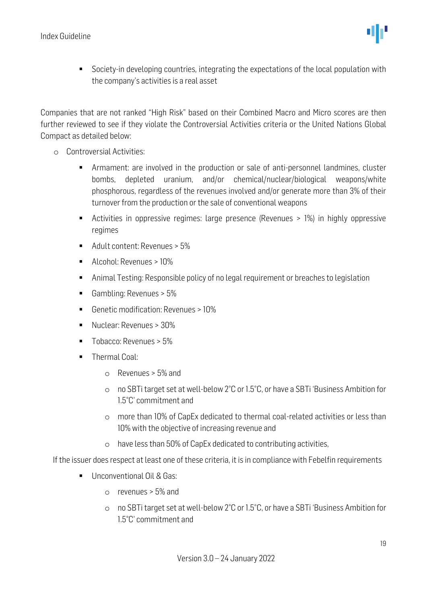

■ Society-in developing countries, integrating the expectations of the local population with the company's activities is a real asset

Companies that are not ranked "High Risk" based on their Combined Macro and Micro scores are then further reviewed to see if they violate the Controversial Activities criteria or the United Nations Global Compact as detailed below:

- o Controversial Activities:
	- Armament: are involved in the production or sale of anti-personnel landmines, cluster bombs, depleted uranium, and/or chemical/nuclear/biological weapons/white phosphorous, regardless of the revenues involved and/or generate more than 3% of their turnover from the production or the sale of conventional weapons
	- Activities in oppressive regimes: large presence (Revenues > 1%) in highly oppressive regimes
	- Adult content: Revenues > 5%
	- Alcohol: Revenues > 10%
	- Animal Testing: Responsible policy of no legal requirement or breaches to legislation
	- Gambling: Revenues > 5%
	- Genetic modification: Revenues > 10%
	- Nuclear: Revenues > 30%
	- Tobacco: Revenues > 5%
	- **■** Thermal Coal:
		- o Revenues > 5% and
		- o no SBTi target set at well-below 2°C or 1.5°C, or have a SBTi 'Business Ambition for 1.5°C' commitment and
		- o more than 10% of CapEx dedicated to thermal coal-related activities or less than 10% with the objective of increasing revenue and
		- o have less than 50% of CapEx dedicated to contributing activities,

If the issuer does respect at least one of these criteria, it is in compliance with Febelfin requirements

- Unconventional Oil & Gas:
	- o revenues > 5% and
	- o no SBTi target set at well-below 2°C or 1.5°C, or have a SBTi 'Business Ambition for 1.5°C' commitment and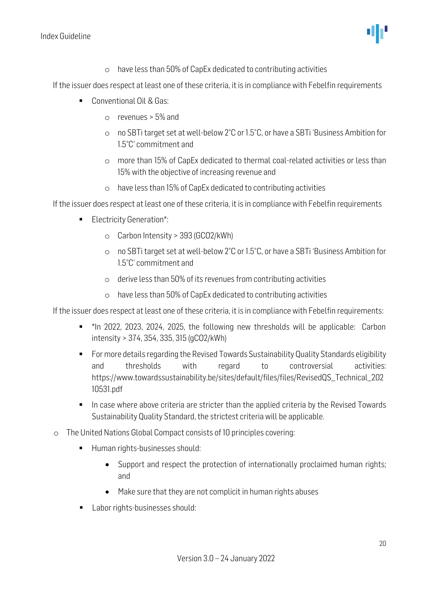Index Guideline

o have less than 50% of CapEx dedicated to contributing activities

If the issuer does respect at least one of these criteria, it is in compliance with Febelfin requirements

- Conventional Oil & Gas:
	- $\circ$  revenues  $>$  5% and
	- o no SBTi target set at well-below 2°C or 1.5°C, or have a SBTi 'Business Ambition for 1.5°C' commitment and
	- o more than 15% of CapEx dedicated to thermal coal-related activities or less than 15% with the objective of increasing revenue and
	- o have less than 15% of CapEx dedicated to contributing activities

If the issuer does respect at least one of these criteria, it is in compliance with Febelfin requirements

- Electricity Generation\*:
	- o Carbon Intensity > 393 (GCO2/kWh)
	- o no SBTi target set at well-below 2°C or 1.5°C, or have a SBTi 'Business Ambition for 1.5°C' commitment and
	- o derive less than 50% of its revenues from contributing activities
	- o have less than 50% of CapEx dedicated to contributing activities

If the issuer does respect at least one of these criteria, it is in compliance with Febelfin requirements:

- \*In 2022, 2023, 2024, 2025, the following new thresholds will be applicable: Carbon intensity > 374, 354, 335, 315 (gCO2/kWh)
- For more details regarding the Revised Towards Sustainability Quality Standards eligibility and thresholds with regard to controversial activities: https://www.towardssustainability.be/sites/default/files/files/RevisedQS\_Technical\_202 10531.pdf
- In case where above criteria are stricter than the applied criteria by the Revised Towards Sustainability Quality Standard, the strictest criteria will be applicable.
- o The United Nations Global Compact consists of 10 principles covering:
	- Human rights-businesses should:
		- Support and respect the protection of internationally proclaimed human rights; and
		- Make sure that they are not complicit in human rights abuses
	- Labor rights-businesses should: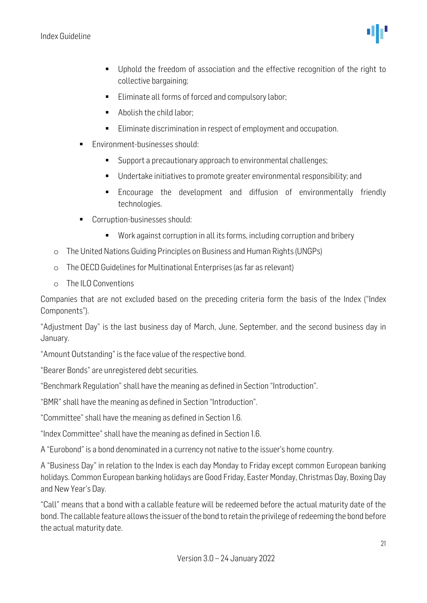

- Uphold the freedom of association and the effective recognition of the right to collective bargaining;
- Eliminate all forms of forced and compulsory labor;
- Abolish the child labor:
- Eliminate discrimination in respect of employment and occupation.
- Environment-businesses should:
	- Support a precautionary approach to environmental challenges;
	- Undertake initiatives to promote greater environmental responsibility; and
	- **Encourage the development and diffusion of environmentally friendly** technologies.
- Corruption-businesses should:
	- Work against corruption in all its forms, including corruption and bribery
- o The United Nations Guiding Principles on Business and Human Rights (UNGPs)
- o The OECD Guidelines for Multinational Enterprises (as far as relevant)
- o The ILO Conventions

Companies that are not excluded based on the preceding criteria form the basis of the Index ("Index Components").

"Adjustment Day" is the last business day of March, June, September, and the second business day in January.

"Amount Outstanding" is the face value of the respective bond.

"Bearer Bonds" are unregistered debt securities.

"Benchmark Regulation" shall have the meaning as defined in Section "Introduction".

"BMR" shall have the meaning as defined in Section "Introduction".

"Committee" shall have the meaning as defined in Section 1.6.

"Index Committee" shall have the meaning as defined in Section 1.6.

A "Eurobond" is a bond denominated in a currency not native to the issuer's home country.

A "Business Day" in relation to the Index is each day Monday to Friday except common European banking holidays. Common European banking holidays are Good Friday, Easter Monday, Christmas Day, Boxing Day and New Year's Day.

"Call" means that a bond with a callable feature will be redeemed before the actual maturity date of the bond. The callable feature allows the issuer of the bond to retain the privilege of redeeming the bond before the actual maturity date.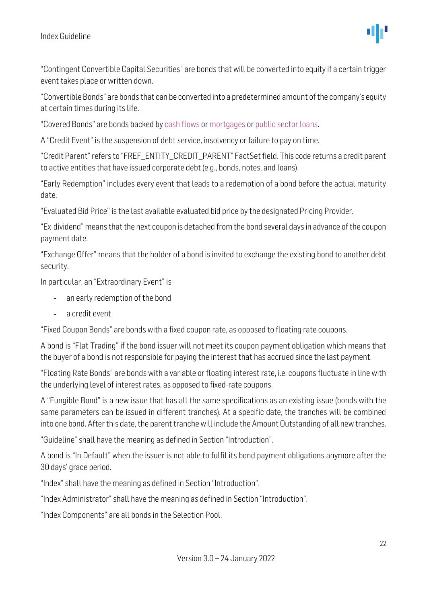

"Contingent Convertible Capital Securities" are bonds that will be converted into equity if a certain trigger event takes place or written down.

"Convertible Bonds" are bonds that can be converted into a predetermined amount of the company's equity at certain times during its life.

"Covered Bonds" are bonds backed b[y cash flows](http://en.wikipedia.org/wiki/Cash_flow) o[r mortgages](http://en.wikipedia.org/wiki/Mortgage_loan) or [public sector](http://en.wikipedia.org/wiki/Public_sector) [loans.](http://en.wikipedia.org/wiki/Loan)

A "Credit Event" is the suspension of debt service, insolvency or failure to pay on time.

"Credit Parent" refers to "FREF\_ENTITY\_CREDIT\_PARENT" FactSet field. This code returns a credit parent to active entities that have issued corporate debt (e.g., bonds, notes, and loans).

"Early Redemption" includes every event that leads to a redemption of a bond before the actual maturity date.

"Evaluated Bid Price" is the last available evaluated bid price by the designated Pricing Provider.

"Ex-dividend" means that the next coupon is detached from the bond several days in advance of the coupon payment date.

"Exchange Offer" means that the holder of a bond is invited to exchange the existing bond to another debt security.

In particular, an "Extraordinary Event" is

- an early redemption of the bond
- a credit event

"Fixed Coupon Bonds" are bonds with a fixed coupon rate, as opposed to floating rate coupons.

A bond is "Flat Trading" if the bond issuer will not meet its coupon payment obligation which means that the buyer of a bond is not responsible for paying the interest that has accrued since the last payment.

"Floating Rate Bonds" are bonds with a variable or floating interest rate, i.e. coupons fluctuate in line with the underlying level of interest rates, as opposed to fixed-rate coupons.

A "Fungible Bond" is a new issue that has all the same specifications as an existing issue (bonds with the same parameters can be issued in different tranches). At a specific date, the tranches will be combined into one bond. After this date, the parent tranche will include the Amount Outstanding of all new tranches.

"Guideline" shall have the meaning as defined in Section "Introduction".

A bond is "In Default" when the issuer is not able to fulfil its bond payment obligations anymore after the 30 days' grace period.

"Index" shall have the meaning as defined in Section "Introduction".

"Index Administrator" shall have the meaning as defined in Section "Introduction".

"Index Components" are all bonds in the Selection Pool.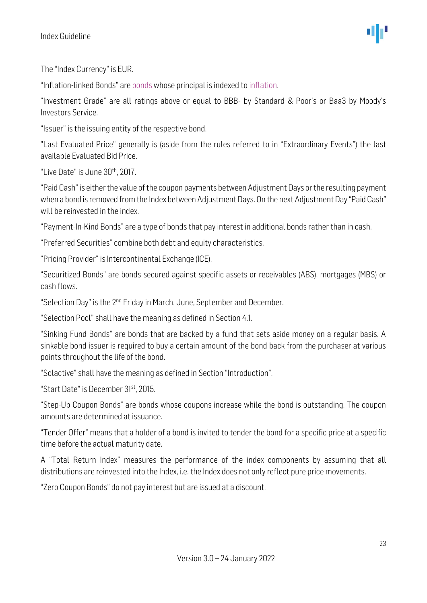The "Index Currency" is EUR.

"Inflation-linked Bonds" are [bonds](http://en.wikipedia.org/wiki/Bond_(finance)) whose principal is indexed t[o inflation.](http://en.wikipedia.org/wiki/Inflation)

"Investment Grade" are all ratings above or equal to BBB- by Standard & Poor's or Baa3 by Moody's Investors Service.

"Issuer" is the issuing entity of the respective bond.

"Last Evaluated Price" generally is (aside from the rules referred to in "Extraordinary Events") the last available Evaluated Bid Price.

"Live Date" is June 30th, 2017.

"Paid Cash" is either the value of the coupon payments between Adjustment Days or the resulting payment when a bond is removed from the Index between Adjustment Days. On the next Adjustment Day "Paid Cash" will be reinvested in the index.

"Payment-In-Kind Bonds" are a type of bonds that pay interest in additional bonds rather than in cash.

"Preferred Securities" combine both debt and equity characteristics.

"Pricing Provider" is Intercontinental Exchange (ICE).

"Securitized Bonds" are bonds secured against specific assets or receivables (ABS), mortgages (MBS) or cash flows.

"Selection Day" is the 2<sup>nd</sup> Friday in March, June, September and December.

"Selection Pool" shall have the meaning as defined in Section 4.1.

"Sinking Fund Bonds" are bonds that are backed by a fund that sets aside money on a regular basis. A sinkable bond issuer is required to buy a certain amount of the bond back from the purchaser at various points throughout the life of the bond.

"Solactive" shall have the meaning as defined in Section "Introduction".

"Start Date" is December 31st, 2015.

"Step-Up Coupon Bonds" are bonds whose coupons increase while the bond is outstanding. The coupon amounts are determined at issuance.

"Tender Offer" means that a holder of a bond is invited to tender the bond for a specific price at a specific time before the actual maturity date.

A "Total Return Index" measures the performance of the index components by assuming that all distributions are reinvested into the Index, i.e. the Index does not only reflect pure price movements.

"Zero Coupon Bonds" do not pay interest but are issued at a discount.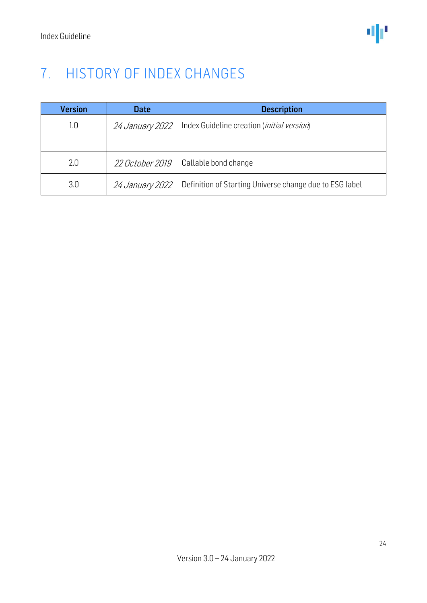### <span id="page-23-0"></span>7. HISTORY OF INDEX CHANGES

| <b>Version</b> | <b>Date</b>            | <b>Description</b>                                      |
|----------------|------------------------|---------------------------------------------------------|
| 1.0            | <i>24 January 2022</i> | Index Guideline creation ( <i>initial version</i> )     |
| 2.0            | <i>22 October 2019</i> | Callable bond change                                    |
| 3.0            | 24 January 2022        | Definition of Starting Universe change due to ESG label |